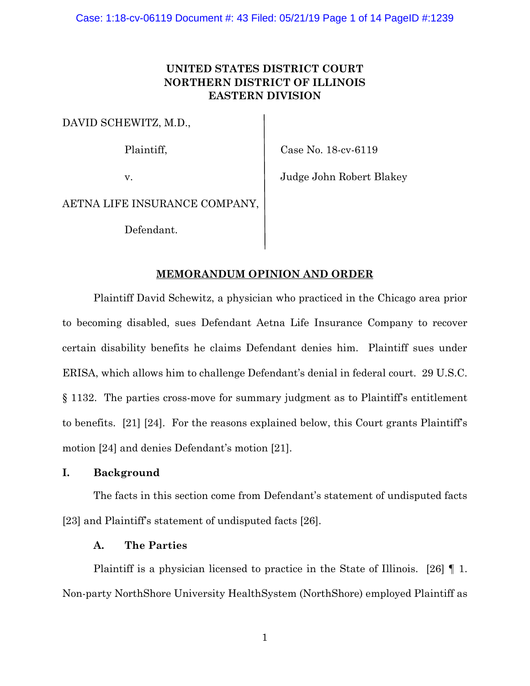# **UNITED STATES DISTRICT COURT NORTHERN DISTRICT OF ILLINOIS EASTERN DIVISION**

DAVID SCHEWITZ, M.D.,

Plaintiff, Case No. 18-cv-6119

v. Judge John Robert Blakey

AETNA LIFE INSURANCE COMPANY,

Defendant.

# **MEMORANDUM OPINION AND ORDER**

Plaintiff David Schewitz, a physician who practiced in the Chicago area prior to becoming disabled, sues Defendant Aetna Life Insurance Company to recover certain disability benefits he claims Defendant denies him. Plaintiff sues under ERISA, which allows him to challenge Defendant's denial in federal court. 29 U.S.C. § 1132. The parties cross-move for summary judgment as to Plaintiff's entitlement to benefits. [21] [24]. For the reasons explained below, this Court grants Plaintiff's motion [24] and denies Defendant's motion [21].

# **I. Background**

The facts in this section come from Defendant's statement of undisputed facts [23] and Plaintiff's statement of undisputed facts [26].

# **A. The Parties**

Plaintiff is a physician licensed to practice in the State of Illinois. [26]  $\P$  1. Non-party NorthShore University HealthSystem (NorthShore) employed Plaintiff as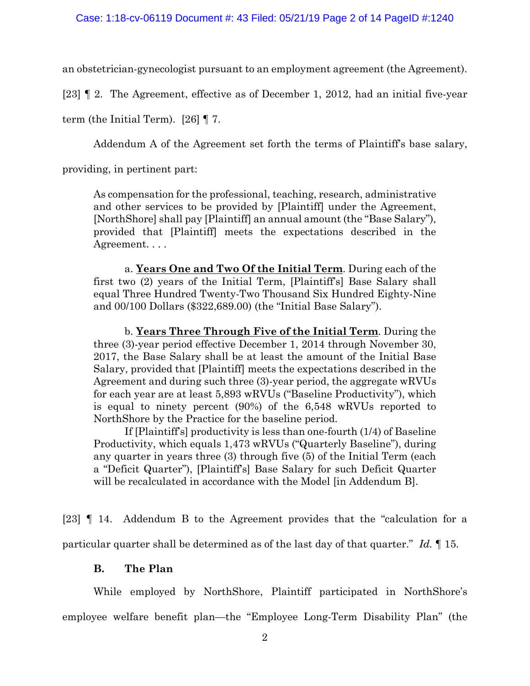an obstetrician-gynecologist pursuant to an employment agreement (the Agreement).

[23] ¶ 2. The Agreement, effective as of December 1, 2012, had an initial five-year

term (the Initial Term). [26] ¶ 7.

Addendum A of the Agreement set forth the terms of Plaintiff's base salary,

providing, in pertinent part:

As compensation for the professional, teaching, research, administrative and other services to be provided by [Plaintiff] under the Agreement, [NorthShore] shall pay [Plaintiff] an annual amount (the "Base Salary"), provided that [Plaintiff] meets the expectations described in the Agreement. . . .

a. **Years One and Two Of the Initial Term**. During each of the first two (2) years of the Initial Term, [Plaintiff's] Base Salary shall equal Three Hundred Twenty-Two Thousand Six Hundred Eighty-Nine and 00/100 Dollars (\$322,689.00) (the "Initial Base Salary").

b. **Years Three Through Five of the Initial Term**. During the three (3)-year period effective December 1, 2014 through November 30, 2017, the Base Salary shall be at least the amount of the Initial Base Salary, provided that [Plaintiff] meets the expectations described in the Agreement and during such three (3)-year period, the aggregate wRVUs for each year are at least 5,893 wRVUs ("Baseline Productivity"), which is equal to ninety percent (90%) of the 6,548 wRVUs reported to NorthShore by the Practice for the baseline period.

If [Plaintiff's] productivity is less than one-fourth (1/4) of Baseline Productivity, which equals 1,473 wRVUs ("Quarterly Baseline"), during any quarter in years three (3) through five (5) of the Initial Term (each a "Deficit Quarter"), [Plaintiff's] Base Salary for such Deficit Quarter will be recalculated in accordance with the Model [in Addendum B].

[23] ¶ 14. Addendum B to the Agreement provides that the "calculation for a particular quarter shall be determined as of the last day of that quarter." *Id.* ¶ 15.

## **B. The Plan**

While employed by NorthShore, Plaintiff participated in NorthShore's employee welfare benefit plan—the "Employee Long-Term Disability Plan" (the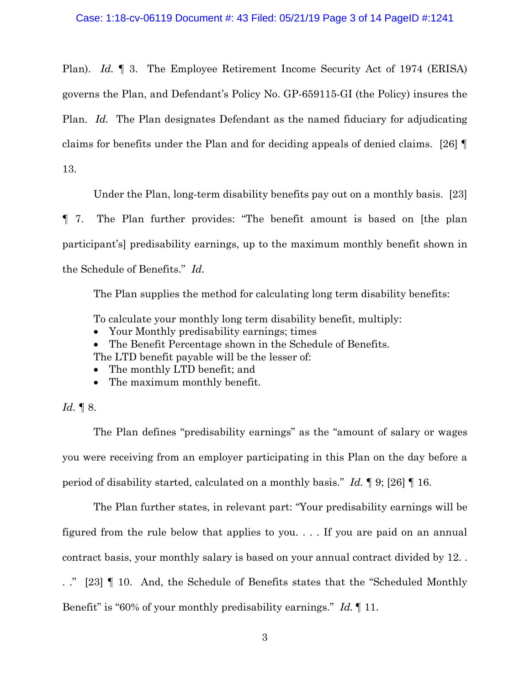Plan). *Id.* ¶ 3. The Employee Retirement Income Security Act of 1974 (ERISA) governs the Plan, and Defendant's Policy No. GP-659115-GI (the Policy) insures the Plan. *Id.* The Plan designates Defendant as the named fiduciary for adjudicating claims for benefits under the Plan and for deciding appeals of denied claims. [26] ¶ 13.

Under the Plan, long-term disability benefits pay out on a monthly basis. [23]

¶ 7. The Plan further provides: "The benefit amount is based on [the plan participant's] predisability earnings, up to the maximum monthly benefit shown in the Schedule of Benefits." *Id.*

The Plan supplies the method for calculating long term disability benefits:

To calculate your monthly long term disability benefit, multiply:

- Your Monthly predisability earnings; times
- The Benefit Percentage shown in the Schedule of Benefits.

The LTD benefit payable will be the lesser of:

- The monthly LTD benefit; and
- The maximum monthly benefit.

## *Id.* ¶ 8.

The Plan defines "predisability earnings" as the "amount of salary or wages you were receiving from an employer participating in this Plan on the day before a period of disability started, calculated on a monthly basis." *Id.* ¶ 9; [26] ¶ 16.

The Plan further states, in relevant part: "Your predisability earnings will be figured from the rule below that applies to you. . . . If you are paid on an annual contract basis, your monthly salary is based on your annual contract divided by 12. . . ." [23] ¶ 10. And, the Schedule of Benefits states that the "Scheduled Monthly Benefit" is "60% of your monthly predisability earnings." *Id.* ¶ 11.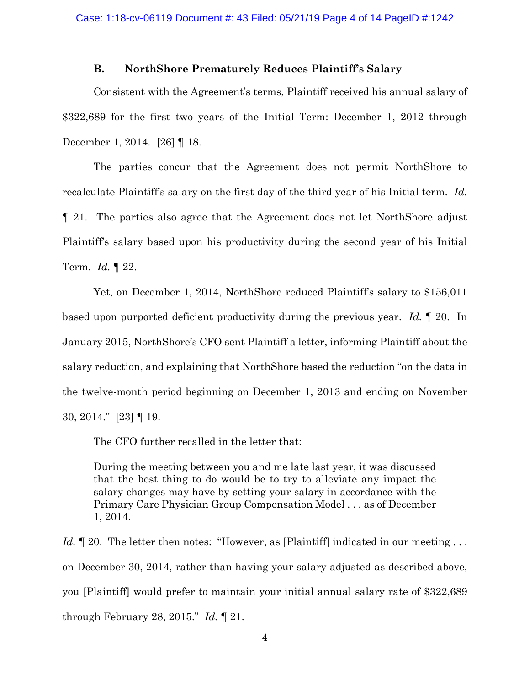## **B. NorthShore Prematurely Reduces Plaintiff's Salary**

Consistent with the Agreement's terms, Plaintiff received his annual salary of \$322,689 for the first two years of the Initial Term: December 1, 2012 through December 1, 2014. [26] ¶ 18.

The parties concur that the Agreement does not permit NorthShore to recalculate Plaintiff's salary on the first day of the third year of his Initial term. *Id.* ¶ 21. The parties also agree that the Agreement does not let NorthShore adjust Plaintiff's salary based upon his productivity during the second year of his Initial Term. *Id.* ¶ 22.

Yet, on December 1, 2014, NorthShore reduced Plaintiff's salary to \$156,011 based upon purported deficient productivity during the previous year. *Id.* ¶ 20. In January 2015, NorthShore's CFO sent Plaintiff a letter, informing Plaintiff about the salary reduction, and explaining that NorthShore based the reduction "on the data in the twelve-month period beginning on December 1, 2013 and ending on November 30, 2014." [23] ¶ 19.

The CFO further recalled in the letter that:

During the meeting between you and me late last year, it was discussed that the best thing to do would be to try to alleviate any impact the salary changes may have by setting your salary in accordance with the Primary Care Physician Group Compensation Model . . . as of December 1, 2014.

*Id.* 120. The letter then notes: "However, as [Plaintiff] indicated in our meeting ... on December 30, 2014, rather than having your salary adjusted as described above, you [Plaintiff] would prefer to maintain your initial annual salary rate of \$322,689 through February 28, 2015." *Id.* ¶ 21.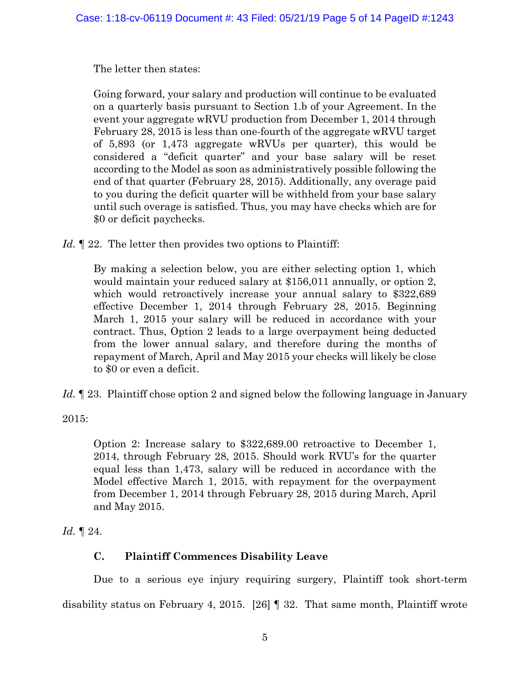The letter then states:

Going forward, your salary and production will continue to be evaluated on a quarterly basis pursuant to Section 1.b of your Agreement. In the event your aggregate wRVU production from December 1, 2014 through February 28, 2015 is less than one-fourth of the aggregate wRVU target of 5,893 (or 1,473 aggregate wRVUs per quarter), this would be considered a "deficit quarter" and your base salary will be reset according to the Model as soon as administratively possible following the end of that quarter (February 28, 2015). Additionally, any overage paid to you during the deficit quarter will be withheld from your base salary until such overage is satisfied. Thus, you may have checks which are for \$0 or deficit paychecks.

*Id.* 122. The letter then provides two options to Plaintiff:

By making a selection below, you are either selecting option 1, which would maintain your reduced salary at \$156,011 annually, or option 2, which would retroactively increase your annual salary to \$322,689 effective December 1, 2014 through February 28, 2015. Beginning March 1, 2015 your salary will be reduced in accordance with your contract. Thus, Option 2 leads to a large overpayment being deducted from the lower annual salary, and therefore during the months of repayment of March, April and May 2015 your checks will likely be close to \$0 or even a deficit.

Id. <sup>123</sup>. Plaintiff chose option 2 and signed below the following language in January

2015:

Option 2: Increase salary to \$322,689.00 retroactive to December 1, 2014, through February 28, 2015. Should work RVU's for the quarter equal less than 1,473, salary will be reduced in accordance with the Model effective March 1, 2015, with repayment for the overpayment from December 1, 2014 through February 28, 2015 during March, April and May 2015.

*Id.* ¶ 24.

# **C. Plaintiff Commences Disability Leave**

Due to a serious eye injury requiring surgery, Plaintiff took short-term disability status on February 4, 2015. [26] ¶ 32. That same month, Plaintiff wrote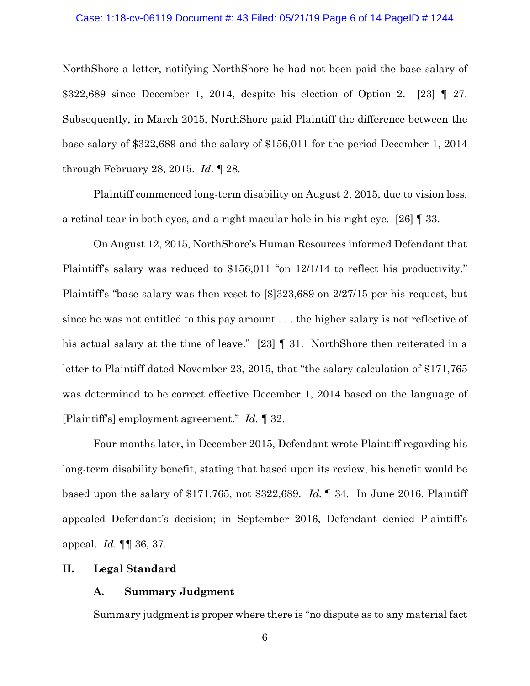#### Case: 1:18-cv-06119 Document #: 43 Filed: 05/21/19 Page 6 of 14 PageID #:1244

NorthShore a letter, notifying NorthShore he had not been paid the base salary of \$322,689 since December 1, 2014, despite his election of Option 2. [23] ¶ 27. Subsequently, in March 2015, NorthShore paid Plaintiff the difference between the base salary of \$322,689 and the salary of \$156,011 for the period December 1, 2014 through February 28, 2015. *Id.* ¶ 28.

Plaintiff commenced long-term disability on August 2, 2015, due to vision loss, a retinal tear in both eyes, and a right macular hole in his right eye. [26] ¶ 33.

On August 12, 2015, NorthShore's Human Resources informed Defendant that Plaintiff's salary was reduced to \$156,011 "on 12/1/14 to reflect his productivity," Plaintiff's "base salary was then reset to [\$]323,689 on 2/27/15 per his request, but since he was not entitled to this pay amount . . . the higher salary is not reflective of his actual salary at the time of leave." [23] ¶ 31. NorthShore then reiterated in a letter to Plaintiff dated November 23, 2015, that "the salary calculation of \$171,765 was determined to be correct effective December 1, 2014 based on the language of [Plaintiff's] employment agreement." *Id.* ¶ 32.

Four months later, in December 2015, Defendant wrote Plaintiff regarding his long-term disability benefit, stating that based upon its review, his benefit would be based upon the salary of \$171,765, not \$322,689. *Id.* ¶ 34. In June 2016, Plaintiff appealed Defendant's decision; in September 2016, Defendant denied Plaintiff's appeal. *Id.* ¶¶ 36, 37.

### **II. Legal Standard**

### **A. Summary Judgment**

Summary judgment is proper where there is "no dispute as to any material fact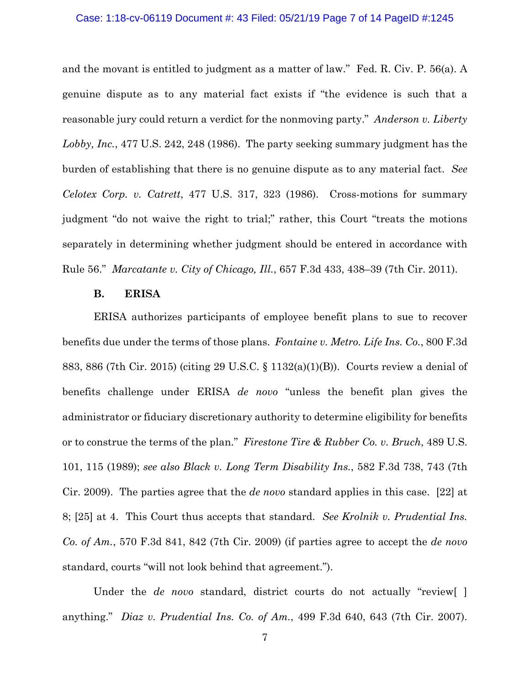#### Case: 1:18-cv-06119 Document #: 43 Filed: 05/21/19 Page 7 of 14 PageID #:1245

and the movant is entitled to judgment as a matter of law." Fed. R. Civ. P. 56(a). A genuine dispute as to any material fact exists if "the evidence is such that a reasonable jury could return a verdict for the nonmoving party." *Anderson v. Liberty Lobby, Inc.*, 477 U.S. 242, 248 (1986). The party seeking summary judgment has the burden of establishing that there is no genuine dispute as to any material fact. *See Celotex Corp. v. Catrett*, 477 U.S. 317, 323 (1986). Cross-motions for summary judgment "do not waive the right to trial;" rather, this Court "treats the motions separately in determining whether judgment should be entered in accordance with Rule 56." *Marcatante v. City of Chicago, Ill.*, 657 F.3d 433, 438–39 (7th Cir. 2011).

### **B. ERISA**

ERISA authorizes participants of employee benefit plans to sue to recover benefits due under the terms of those plans. *Fontaine v. Metro. Life Ins. Co.*, 800 F.3d 883, 886 (7th Cir. 2015) (citing 29 U.S.C. § 1132(a)(1)(B)). Courts review a denial of benefits challenge under ERISA *de novo* "unless the benefit plan gives the administrator or fiduciary discretionary authority to determine eligibility for benefits or to construe the terms of the plan." *Firestone Tire & Rubber Co. v. Bruch*, 489 U.S. 101, 115 (1989); *see also Black v. Long Term Disability Ins.*, 582 F.3d 738, 743 (7th Cir. 2009). The parties agree that the *de novo* standard applies in this case. [22] at 8; [25] at 4. This Court thus accepts that standard. *See Krolnik v. Prudential Ins. Co. of Am.*, 570 F.3d 841, 842 (7th Cir. 2009) (if parties agree to accept the *de novo* standard, courts "will not look behind that agreement.").

Under the *de novo* standard, district courts do not actually "review[] anything." *Diaz v. Prudential Ins. Co. of Am.*, 499 F.3d 640, 643 (7th Cir. 2007).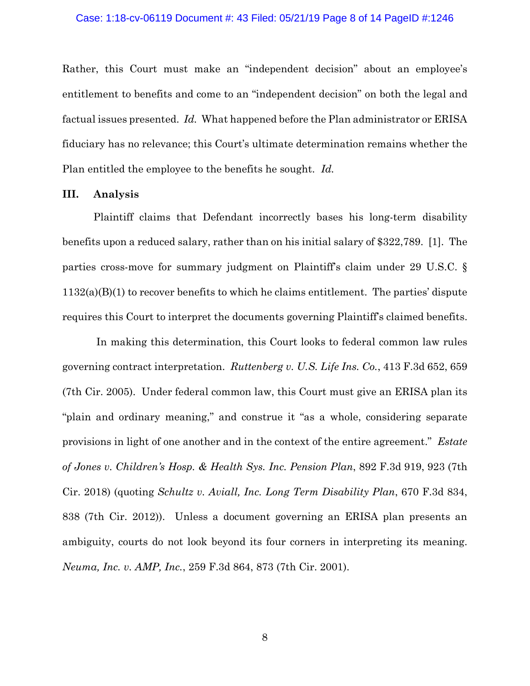#### Case: 1:18-cv-06119 Document #: 43 Filed: 05/21/19 Page 8 of 14 PageID #:1246

Rather, this Court must make an "independent decision" about an employee's entitlement to benefits and come to an "independent decision" on both the legal and factual issues presented. *Id.* What happened before the Plan administrator or ERISA fiduciary has no relevance; this Court's ultimate determination remains whether the Plan entitled the employee to the benefits he sought. *Id.*

### **III. Analysis**

Plaintiff claims that Defendant incorrectly bases his long-term disability benefits upon a reduced salary, rather than on his initial salary of \$322,789. [1]. The parties cross-move for summary judgment on Plaintiff's claim under 29 U.S.C. § 1132(a)(B)(1) to recover benefits to which he claims entitlement. The parties' dispute requires this Court to interpret the documents governing Plaintiff's claimed benefits.

In making this determination, this Court looks to federal common law rules governing contract interpretation. *Ruttenberg v. U.S. Life Ins. Co.*, 413 F.3d 652, 659 (7th Cir. 2005). Under federal common law, this Court must give an ERISA plan its "plain and ordinary meaning," and construe it "as a whole, considering separate provisions in light of one another and in the context of the entire agreement." *Estate of Jones v. Children's Hosp. & Health Sys. Inc. Pension Plan*, 892 F.3d 919, 923 (7th Cir. 2018) (quoting *Schultz v. Aviall, Inc. Long Term Disability Plan*, 670 F.3d 834, 838 (7th Cir. 2012)). Unless a document governing an ERISA plan presents an ambiguity, courts do not look beyond its four corners in interpreting its meaning. *Neuma, Inc. v. AMP, Inc.*, 259 F.3d 864, 873 (7th Cir. 2001).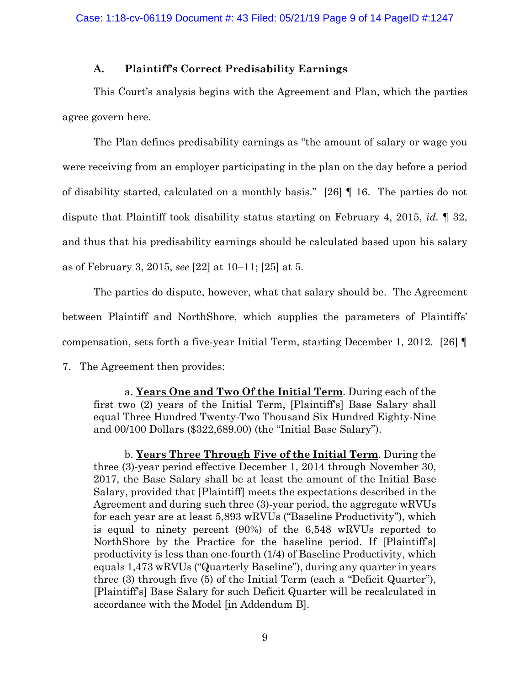## **A. Plaintiff's Correct Predisability Earnings**

This Court's analysis begins with the Agreement and Plan, which the parties agree govern here.

The Plan defines predisability earnings as "the amount of salary or wage you were receiving from an employer participating in the plan on the day before a period of disability started, calculated on a monthly basis." [26] ¶ 16. The parties do not dispute that Plaintiff took disability status starting on February 4, 2015, *id.* ¶ 32, and thus that his predisability earnings should be calculated based upon his salary as of February 3, 2015, *see* [22] at 10–11; [25] at 5.

The parties do dispute, however, what that salary should be. The Agreement between Plaintiff and NorthShore, which supplies the parameters of Plaintiffs' compensation, sets forth a five-year Initial Term, starting December 1, 2012. [26] ¶

7. The Agreement then provides:

a. **Years One and Two Of the Initial Term**. During each of the first two (2) years of the Initial Term, [Plaintiff's] Base Salary shall equal Three Hundred Twenty-Two Thousand Six Hundred Eighty-Nine and 00/100 Dollars (\$322,689.00) (the "Initial Base Salary").

b. **Years Three Through Five of the Initial Term**. During the three (3)-year period effective December 1, 2014 through November 30, 2017, the Base Salary shall be at least the amount of the Initial Base Salary, provided that [Plaintiff] meets the expectations described in the Agreement and during such three (3)-year period, the aggregate wRVUs for each year are at least 5,893 wRVUs ("Baseline Productivity"), which is equal to ninety percent (90%) of the 6,548 wRVUs reported to NorthShore by the Practice for the baseline period. If [Plaintiff's] productivity is less than one-fourth (1/4) of Baseline Productivity, which equals 1,473 wRVUs ("Quarterly Baseline"), during any quarter in years three (3) through five (5) of the Initial Term (each a "Deficit Quarter"), [Plaintiff's] Base Salary for such Deficit Quarter will be recalculated in accordance with the Model [in Addendum B].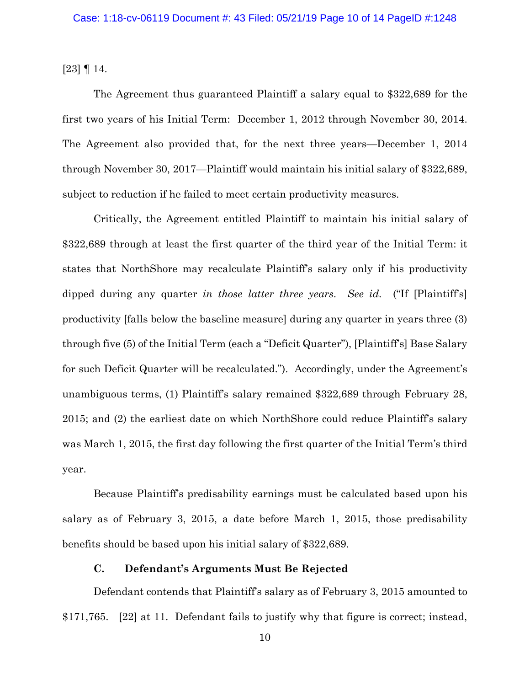[23] ¶ 14.

The Agreement thus guaranteed Plaintiff a salary equal to \$322,689 for the first two years of his Initial Term: December 1, 2012 through November 30, 2014. The Agreement also provided that, for the next three years—December 1, 2014 through November 30, 2017—Plaintiff would maintain his initial salary of \$322,689, subject to reduction if he failed to meet certain productivity measures.

Critically, the Agreement entitled Plaintiff to maintain his initial salary of \$322,689 through at least the first quarter of the third year of the Initial Term: it states that NorthShore may recalculate Plaintiff's salary only if his productivity dipped during any quarter *in those latter three years*. *See id.* ("If [Plaintiff's] productivity [falls below the baseline measure] during any quarter in years three (3) through five (5) of the Initial Term (each a "Deficit Quarter"), [Plaintiff's] Base Salary for such Deficit Quarter will be recalculated."). Accordingly, under the Agreement's unambiguous terms, (1) Plaintiff's salary remained \$322,689 through February 28, 2015; and (2) the earliest date on which NorthShore could reduce Plaintiff's salary was March 1, 2015, the first day following the first quarter of the Initial Term's third year.

Because Plaintiff's predisability earnings must be calculated based upon his salary as of February 3, 2015, a date before March 1, 2015, those predisability benefits should be based upon his initial salary of \$322,689.

## **C. Defendant's Arguments Must Be Rejected**

Defendant contends that Plaintiff's salary as of February 3, 2015 amounted to \$171,765. [22] at 11. Defendant fails to justify why that figure is correct; instead,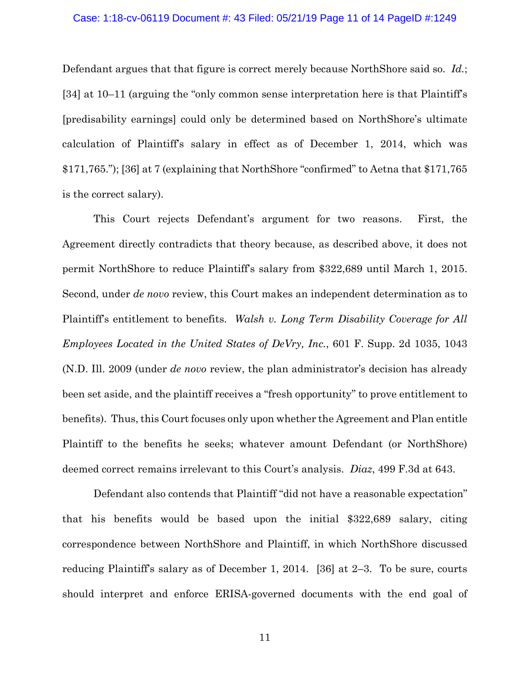#### Case: 1:18-cv-06119 Document #: 43 Filed: 05/21/19 Page 11 of 14 PageID #:1249

Defendant argues that that figure is correct merely because NorthShore said so. *Id.*; [34] at 10–11 (arguing the "only common sense interpretation here is that Plaintiff's [predisability earnings] could only be determined based on NorthShore's ultimate calculation of Plaintiff's salary in effect as of December 1, 2014, which was \$171,765."); [36] at 7 (explaining that NorthShore "confirmed" to Aetna that \$171,765 is the correct salary).

This Court rejects Defendant's argument for two reasons. First, the Agreement directly contradicts that theory because, as described above, it does not permit NorthShore to reduce Plaintiff's salary from \$322,689 until March 1, 2015. Second, under *de novo* review, this Court makes an independent determination as to Plaintiff's entitlement to benefits. *Walsh v. Long Term Disability Coverage for All Employees Located in the United States of DeVry, Inc.*, 601 F. Supp. 2d 1035, 1043 (N.D. Ill. 2009 (under *de novo* review, the plan administrator's decision has already been set aside, and the plaintiff receives a "fresh opportunity" to prove entitlement to benefits). Thus, this Court focuses only upon whether the Agreement and Plan entitle Plaintiff to the benefits he seeks; whatever amount Defendant (or NorthShore) deemed correct remains irrelevant to this Court's analysis. *Diaz*, 499 F.3d at 643.

Defendant also contends that Plaintiff "did not have a reasonable expectation" that his benefits would be based upon the initial \$322,689 salary, citing correspondence between NorthShore and Plaintiff, in which NorthShore discussed reducing Plaintiff's salary as of December 1, 2014. [36] at 2–3. To be sure, courts should interpret and enforce ERISA-governed documents with the end goal of

11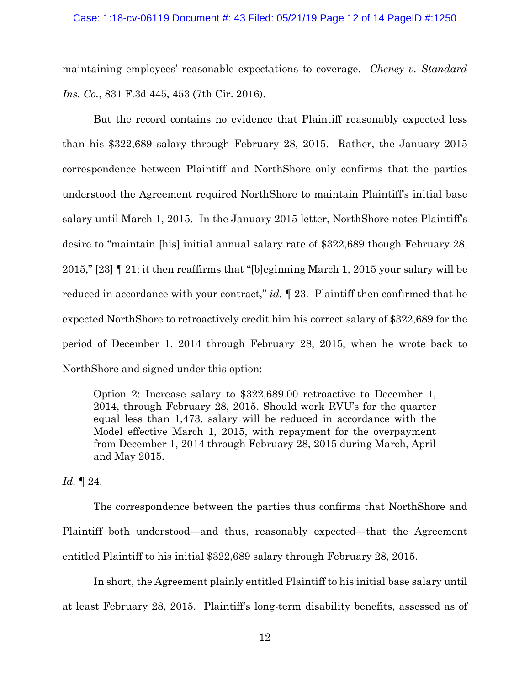#### Case: 1:18-cv-06119 Document #: 43 Filed: 05/21/19 Page 12 of 14 PageID #:1250

maintaining employees' reasonable expectations to coverage. *Cheney v. Standard Ins. Co.*, 831 F.3d 445, 453 (7th Cir. 2016).

But the record contains no evidence that Plaintiff reasonably expected less than his \$322,689 salary through February 28, 2015. Rather, the January 2015 correspondence between Plaintiff and NorthShore only confirms that the parties understood the Agreement required NorthShore to maintain Plaintiff's initial base salary until March 1, 2015. In the January 2015 letter, NorthShore notes Plaintiff's desire to "maintain [his] initial annual salary rate of \$322,689 though February 28, 2015," [23] ¶ 21; it then reaffirms that "[b]eginning March 1, 2015 your salary will be reduced in accordance with your contract," *id.* ¶ 23. Plaintiff then confirmed that he expected NorthShore to retroactively credit him his correct salary of \$322,689 for the period of December 1, 2014 through February 28, 2015, when he wrote back to NorthShore and signed under this option:

Option 2: Increase salary to \$322,689.00 retroactive to December 1, 2014, through February 28, 2015. Should work RVU's for the quarter equal less than 1,473, salary will be reduced in accordance with the Model effective March 1, 2015, with repayment for the overpayment from December 1, 2014 through February 28, 2015 during March, April and May 2015.

*Id.* ¶ 24.

The correspondence between the parties thus confirms that NorthShore and Plaintiff both understood—and thus, reasonably expected—that the Agreement entitled Plaintiff to his initial \$322,689 salary through February 28, 2015.

In short, the Agreement plainly entitled Plaintiff to his initial base salary until at least February 28, 2015. Plaintiff's long-term disability benefits, assessed as of

12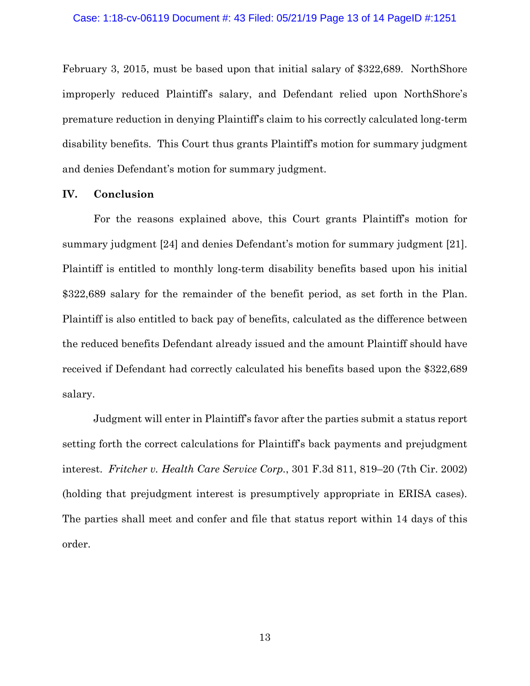February 3, 2015, must be based upon that initial salary of \$322,689. NorthShore improperly reduced Plaintiff's salary, and Defendant relied upon NorthShore's premature reduction in denying Plaintiff's claim to his correctly calculated long-term disability benefits. This Court thus grants Plaintiff's motion for summary judgment and denies Defendant's motion for summary judgment.

#### **IV. Conclusion**

For the reasons explained above, this Court grants Plaintiff's motion for summary judgment [24] and denies Defendant's motion for summary judgment [21]. Plaintiff is entitled to monthly long-term disability benefits based upon his initial \$322,689 salary for the remainder of the benefit period, as set forth in the Plan. Plaintiff is also entitled to back pay of benefits, calculated as the difference between the reduced benefits Defendant already issued and the amount Plaintiff should have received if Defendant had correctly calculated his benefits based upon the \$322,689 salary.

Judgment will enter in Plaintiff's favor after the parties submit a status report setting forth the correct calculations for Plaintiff's back payments and prejudgment interest. *Fritcher v. Health Care Service Corp.*, 301 F.3d 811, 819–20 (7th Cir. 2002) (holding that prejudgment interest is presumptively appropriate in ERISA cases). The parties shall meet and confer and file that status report within 14 days of this order.